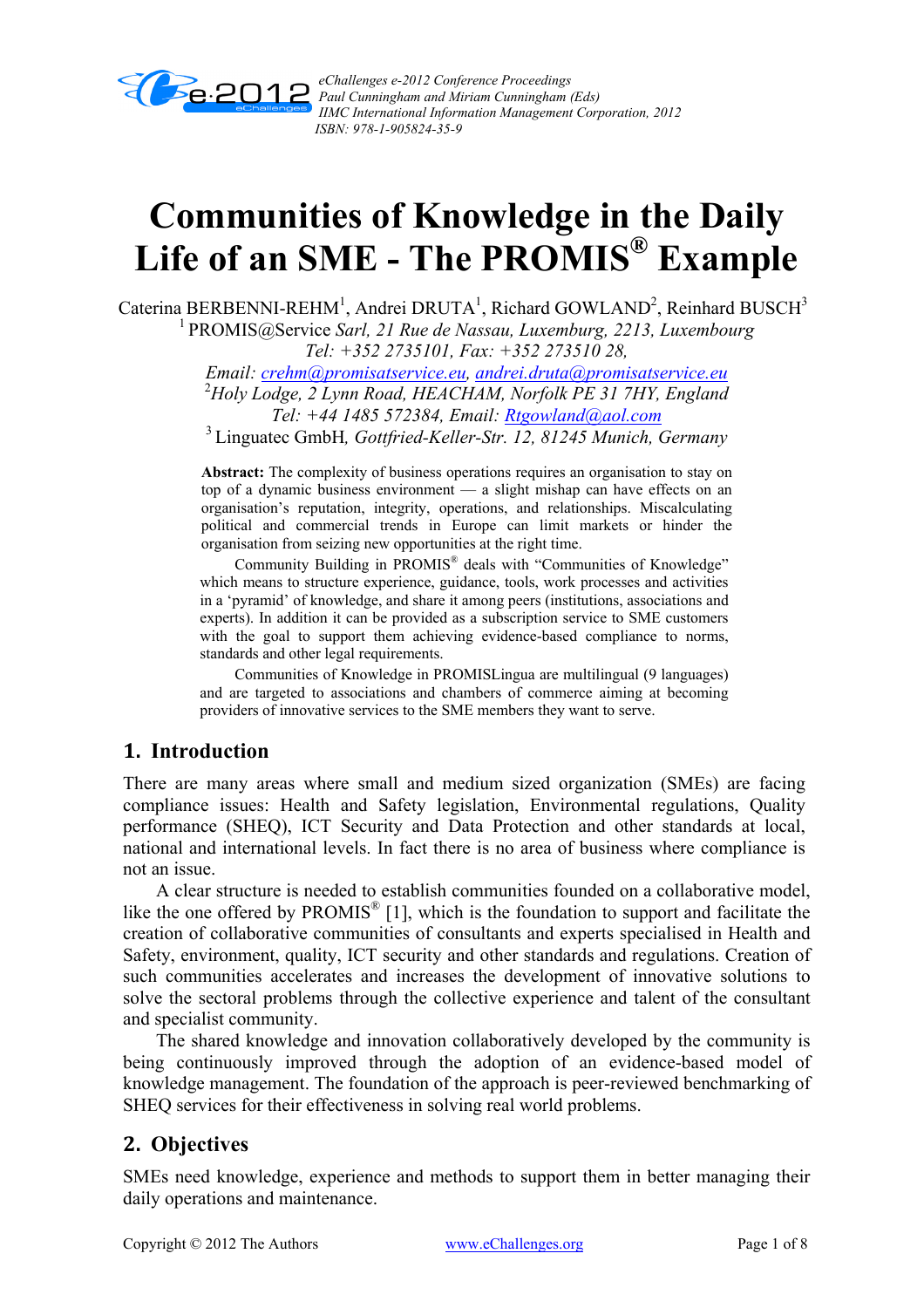

*eChallenges e-2012 Conference Proceedings Paul Cunningham and Miriam Cunningham (Eds) IIMC International Information Management Corporation, 2012 ISBN: 978-1-905824-35-9*

# **Communities of Knowledge in the Daily Life of an SME - The PROMIS® Example**

Caterina BERBENNI-REHM<sup>1</sup>, Andrei DRUTA<sup>1</sup>, Richard GOWLAND<sup>2</sup>, Reinhard BUSCH<sup>3</sup> 1 PROMIS@Service *Sarl, 21 Rue de Nassau, Luxemburg, 2213, Luxembourg Tel: +352 2735101, Fax: +352 273510 28,* 

*Email: crehm@promisatservice.eu, andrei.druta@promisatservice.eu* <sup>2</sup> *Holy Lodge, 2 Lynn Road, HEACHAM, Norfolk PE 31 7HY, England* 

*Tel: +44 1485 572384, Email: Rtgowland@aol.com* 3 Linguatec GmbH*, Gottfried-Keller-Str. 12, 81245 Munich, Germany*

**Abstract:** The complexity of business operations requires an organisation to stay on top of a dynamic business environment — a slight mishap can have effects on an organisation's reputation, integrity, operations, and relationships. Miscalculating political and commercial trends in Europe can limit markets or hinder the organisation from seizing new opportunities at the right time.

 Community Building in PROMIS® deals with "Communities of Knowledge" which means to structure experience, guidance, tools, work processes and activities in a 'pyramid' of knowledge, and share it among peers (institutions, associations and experts). In addition it can be provided as a subscription service to SME customers with the goal to support them achieving evidence-based compliance to norms, standards and other legal requirements.

 Communities of Knowledge in PROMISLingua are multilingual (9 languages) and are targeted to associations and chambers of commerce aiming at becoming providers of innovative services to the SME members they want to serve.

# **1. Introduction**

There are many areas where small and medium sized organization (SMEs) are facing compliance issues: Health and Safety legislation, Environmental regulations, Quality performance (SHEQ), ICT Security and Data Protection and other standards at local, national and international levels. In fact there is no area of business where compliance is not an issue.

 A clear structure is needed to establish communities founded on a collaborative model, like the one offered by  $PROMIS^{\circledR}$  [1], which is the foundation to support and facilitate the creation of collaborative communities of consultants and experts specialised in Health and Safety, environment, quality, ICT security and other standards and regulations. Creation of such communities accelerates and increases the development of innovative solutions to solve the sectoral problems through the collective experience and talent of the consultant and specialist community.

 The shared knowledge and innovation collaboratively developed by the community is being continuously improved through the adoption of an evidence-based model of knowledge management. The foundation of the approach is peer-reviewed benchmarking of SHEQ services for their effectiveness in solving real world problems.

# **2. Objectives**

SMEs need knowledge, experience and methods to support them in better managing their daily operations and maintenance.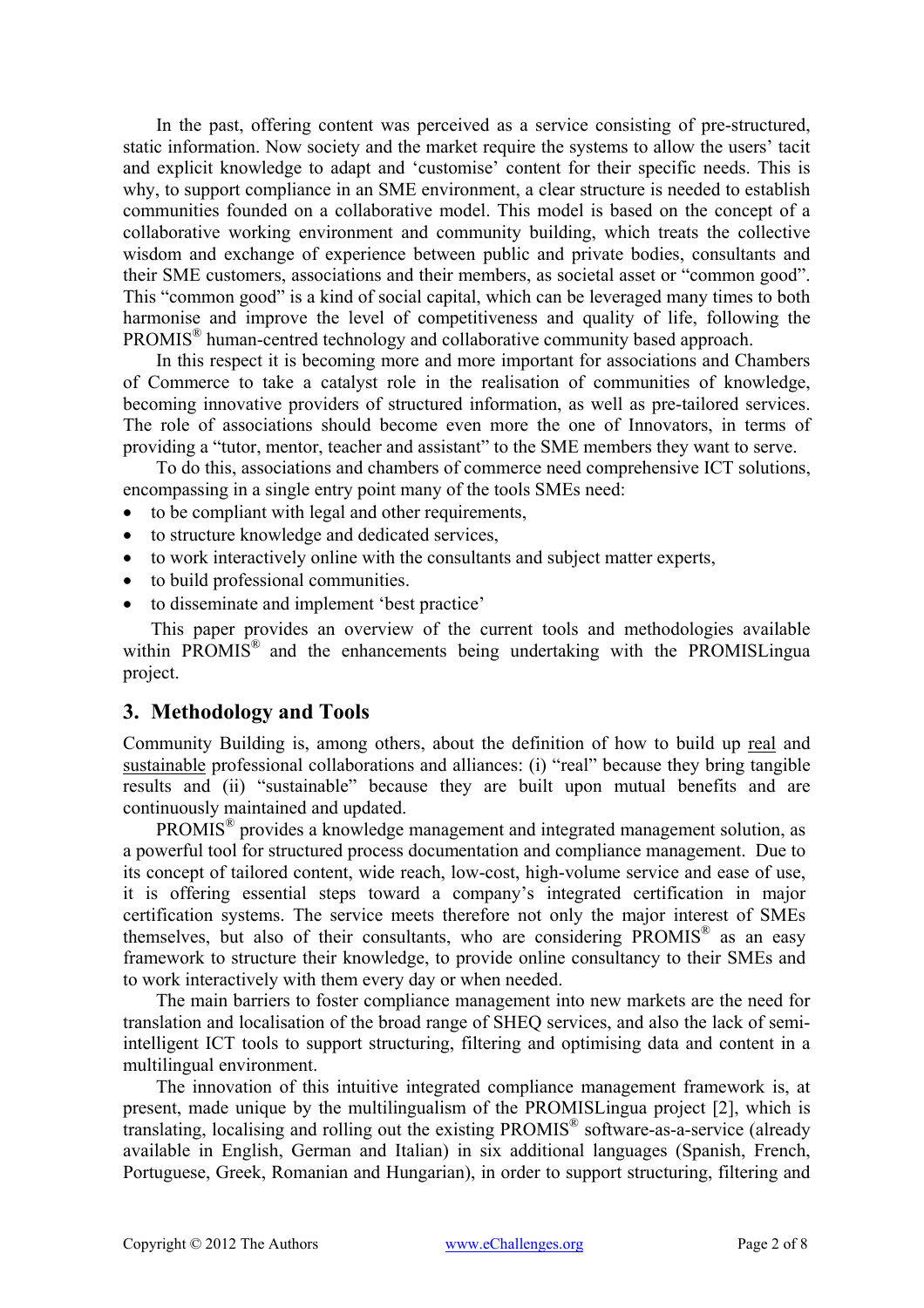In the past, offering content was perceived as a service consisting of pre-structured, static information. Now society and the market require the systems to allow the users' tacit and explicit knowledge to adapt and 'customise' content for their specific needs. This is why, to support compliance in an SME environment, a clear structure is needed to establish communities founded on a collaborative model. This model is based on the concept of a collaborative working environment and community building, which treats the collective wisdom and exchange of experience between public and private bodies, consultants and their SME customers, associations and their members, as societal asset or "common good". This "common good" is a kind of social capital, which can be leveraged many times to both harmonise and improve the level of competitiveness and quality of life, following the PROMIS® human-centred technology and collaborative community based approach.

 In this respect it is becoming more and more important for associations and Chambers of Commerce to take a catalyst role in the realisation of communities of knowledge, becoming innovative providers of structured information, as well as pre-tailored services. The role of associations should become even more the one of Innovators, in terms of providing a "tutor, mentor, teacher and assistant" to the SME members they want to serve.

 To do this, associations and chambers of commerce need comprehensive ICT solutions, encompassing in a single entry point many of the tools SMEs need:

- to be compliant with legal and other requirements,
- to structure knowledge and dedicated services,
- to work interactively online with the consultants and subject matter experts,
- to build professional communities.
- to disseminate and implement 'best practice'

 This paper provides an overview of the current tools and methodologies available within PROMIS<sup>®</sup> and the enhancements being undertaking with the PROMISLingua project.

# **3. Methodology and Tools**

Community Building is, among others, about the definition of how to build up real and sustainable professional collaborations and alliances: (i) "real" because they bring tangible results and (ii) "sustainable" because they are built upon mutual benefits and are continuously maintained and updated.

 PROMIS® provides a knowledge management and integrated management solution, as a powerful tool for structured process documentation and compliance management. Due to its concept of tailored content, wide reach, low-cost, high-volume service and ease of use, it is offering essential steps toward a company's integrated certification in major certification systems. The service meets therefore not only the major interest of SMEs themselves, but also of their consultants, who are considering  $PROMIS^{\circledR}$  as an easy framework to structure their knowledge, to provide online consultancy to their SMEs and to work interactively with them every day or when needed.

 The main barriers to foster compliance management into new markets are the need for translation and localisation of the broad range of SHEQ services, and also the lack of semiintelligent ICT tools to support structuring, filtering and optimising data and content in a multilingual environment.

 The innovation of this intuitive integrated compliance management framework is, at present, made unique by the multilingualism of the PROMISLingua project [2], which is translating, localising and rolling out the existing PROMIS® software-as-a-service (already available in English, German and Italian) in six additional languages (Spanish, French, Portuguese, Greek, Romanian and Hungarian), in order to support structuring, filtering and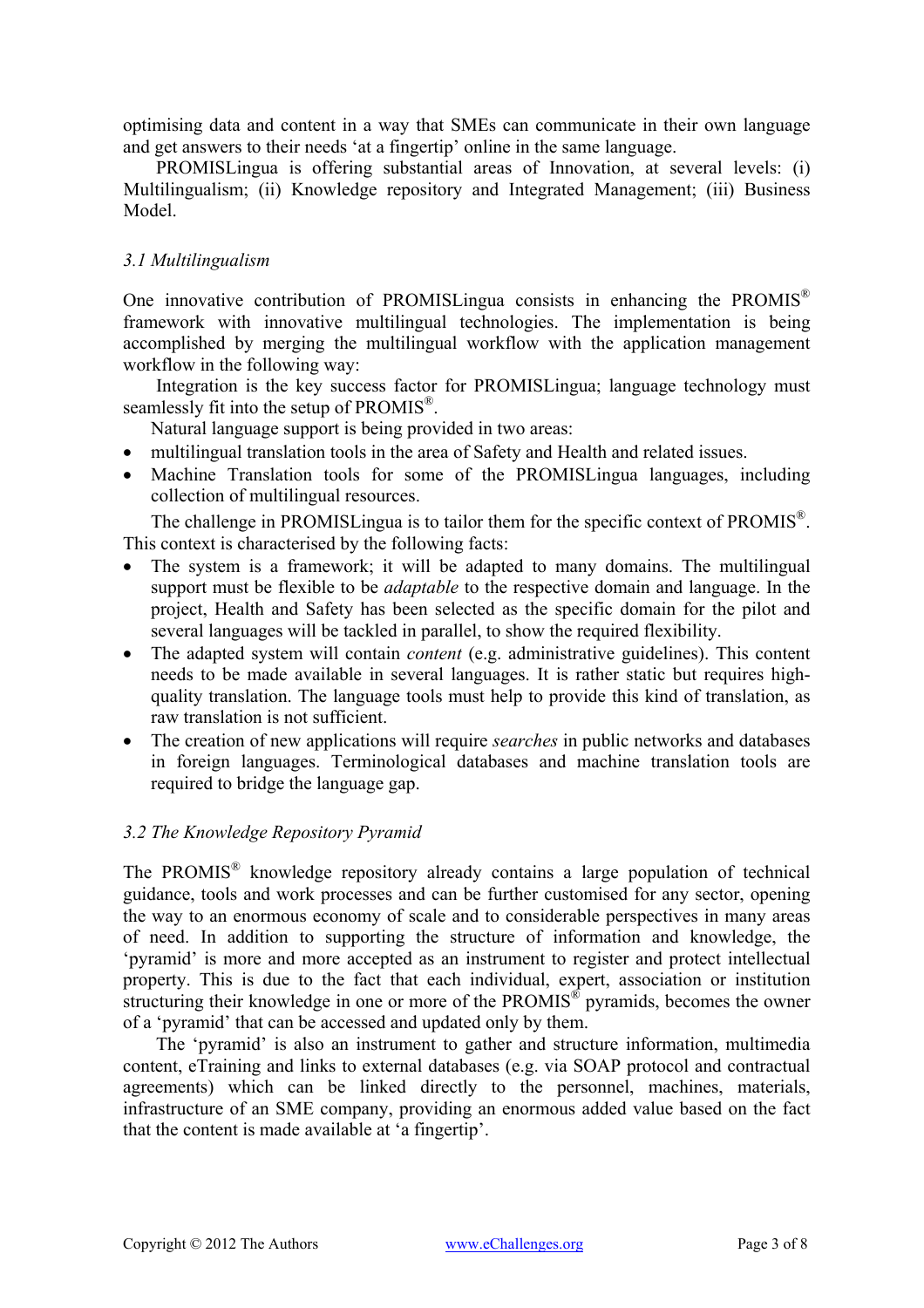optimising data and content in a way that SMEs can communicate in their own language and get answers to their needs 'at a fingertip' online in the same language.

 PROMISLingua is offering substantial areas of Innovation, at several levels: (i) Multilingualism; (ii) Knowledge repository and Integrated Management; (iii) Business Model.

#### *3.1 Multilingualism*

One innovative contribution of PROMISLingua consists in enhancing the PROMIS<sup>®</sup> framework with innovative multilingual technologies. The implementation is being accomplished by merging the multilingual workflow with the application management workflow in the following way:

 Integration is the key success factor for PROMISLingua; language technology must seamlessly fit into the setup of PROMIS<sup>®</sup>.

- Natural language support is being provided in two areas:
- multilingual translation tools in the area of Safety and Health and related issues.
- Machine Translation tools for some of the PROMISLingua languages, including collection of multilingual resources.

The challenge in PROMISLingua is to tailor them for the specific context of  $PROMIS^{\mathbb{R}}$ . This context is characterised by the following facts:

- The system is a framework; it will be adapted to many domains. The multilingual support must be flexible to be *adaptable* to the respective domain and language. In the project, Health and Safety has been selected as the specific domain for the pilot and several languages will be tackled in parallel, to show the required flexibility.
- The adapted system will contain *content* (e.g. administrative guidelines). This content needs to be made available in several languages. It is rather static but requires highquality translation. The language tools must help to provide this kind of translation, as raw translation is not sufficient.
- The creation of new applications will require *searches* in public networks and databases in foreign languages. Terminological databases and machine translation tools are required to bridge the language gap.

#### *3.2 The Knowledge Repository Pyramid*

The PROMIS® knowledge repository already contains a large population of technical guidance, tools and work processes and can be further customised for any sector, opening the way to an enormous economy of scale and to considerable perspectives in many areas of need. In addition to supporting the structure of information and knowledge, the 'pyramid' is more and more accepted as an instrument to register and protect intellectual property. This is due to the fact that each individual, expert, association or institution structuring their knowledge in one or more of the PROMIS<sup>®</sup> pyramids, becomes the owner of a 'pyramid' that can be accessed and updated only by them.

 The 'pyramid' is also an instrument to gather and structure information, multimedia content, eTraining and links to external databases (e.g. via SOAP protocol and contractual agreements) which can be linked directly to the personnel, machines, materials, infrastructure of an SME company, providing an enormous added value based on the fact that the content is made available at 'a fingertip'.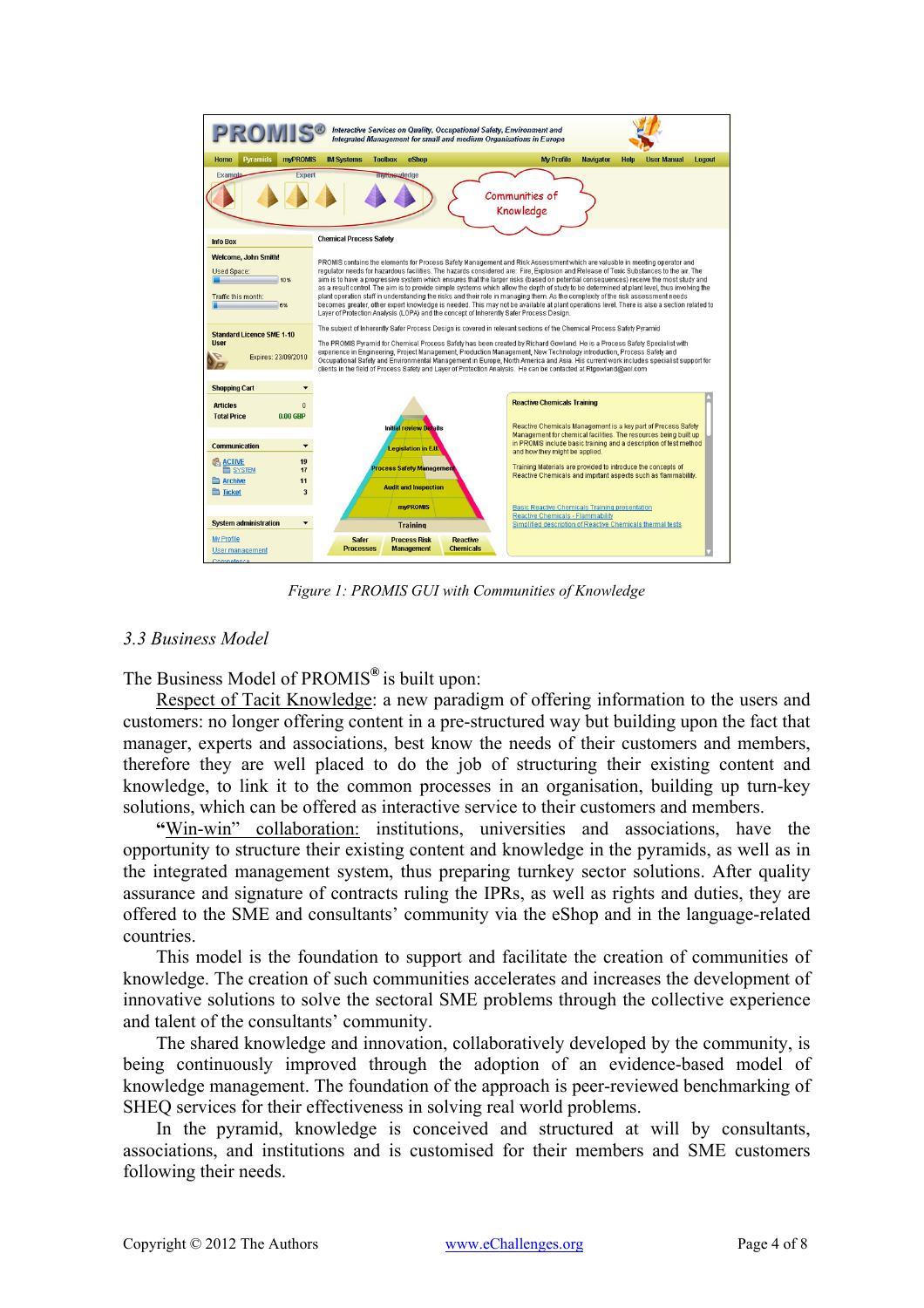

*Figure 1: PROMIS GUI with Communities of Knowledge* 

## *3.3 Business Model*

The Business Model of PROMIS**®** is built upon:

 Respect of Tacit Knowledge: a new paradigm of offering information to the users and customers: no longer offering content in a pre-structured way but building upon the fact that manager, experts and associations, best know the needs of their customers and members, therefore they are well placed to do the job of structuring their existing content and knowledge, to link it to the common processes in an organisation, building up turn-key solutions, which can be offered as interactive service to their customers and members.

 **"**Win-win" collaboration: institutions, universities and associations, have the opportunity to structure their existing content and knowledge in the pyramids, as well as in the integrated management system, thus preparing turnkey sector solutions. After quality assurance and signature of contracts ruling the IPRs, as well as rights and duties, they are offered to the SME and consultants' community via the eShop and in the language-related countries.

 This model is the foundation to support and facilitate the creation of communities of knowledge. The creation of such communities accelerates and increases the development of innovative solutions to solve the sectoral SME problems through the collective experience and talent of the consultants' community.

 The shared knowledge and innovation, collaboratively developed by the community, is being continuously improved through the adoption of an evidence-based model of knowledge management. The foundation of the approach is peer-reviewed benchmarking of SHEQ services for their effectiveness in solving real world problems.

 In the pyramid, knowledge is conceived and structured at will by consultants, associations, and institutions and is customised for their members and SME customers following their needs.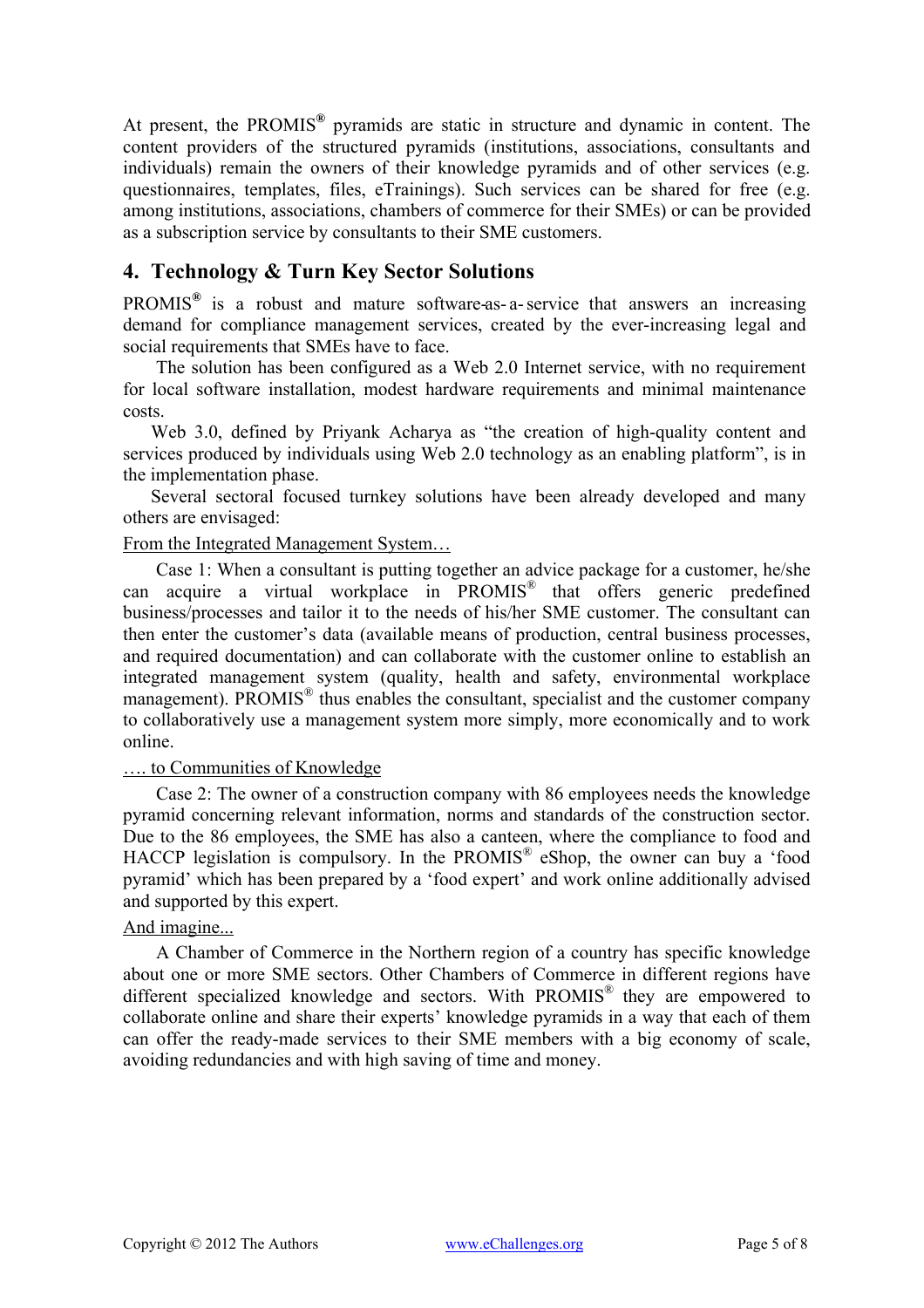At present, the PROMIS**®** pyramids are static in structure and dynamic in content. The content providers of the structured pyramids (institutions, associations, consultants and individuals) remain the owners of their knowledge pyramids and of other services (e.g. questionnaires, templates, files, eTrainings). Such services can be shared for free (e.g. among institutions, associations, chambers of commerce for their SMEs) or can be provided as a subscription service by consultants to their SME customers.

# **4. Technology & Turn Key Sector Solutions**

PROMIS**®** is a robust and mature software-as- a- service that answers an increasing demand for compliance management services, created by the ever-increasing legal and social requirements that SMEs have to face.

 The solution has been configured as a Web 2.0 Internet service, with no requirement for local software installation, modest hardware requirements and minimal maintenance costs.

Web 3.0, defined by Priyank Acharya as "the creation of high-quality content and services produced by individuals using Web 2.0 technology as an enabling platform", is in the implementation phase.

Several sectoral focused turnkey solutions have been already developed and many others are envisaged:

#### From the Integrated Management System…

 Case 1: When a consultant is putting together an advice package for a customer, he/she can acquire a virtual workplace in PROMIS® that offers generic predefined business/processes and tailor it to the needs of his/her SME customer. The consultant can then enter the customer's data (available means of production, central business processes, and required documentation) and can collaborate with the customer online to establish an integrated management system (quality, health and safety, environmental workplace management). PROMIS<sup>®</sup> thus enables the consultant, specialist and the customer company to collaboratively use a management system more simply, more economically and to work online.

#### …. to Communities of Knowledge

 Case 2: The owner of a construction company with 86 employees needs the knowledge pyramid concerning relevant information, norms and standards of the construction sector. Due to the 86 employees, the SME has also a canteen, where the compliance to food and HACCP legislation is compulsory. In the PROMIS<sup>®</sup> eShop, the owner can buy a 'food pyramid' which has been prepared by a 'food expert' and work online additionally advised and supported by this expert.

## And imagine...

 A Chamber of Commerce in the Northern region of a country has specific knowledge about one or more SME sectors. Other Chambers of Commerce in different regions have different specialized knowledge and sectors. With PROMIS® they are empowered to collaborate online and share their experts' knowledge pyramids in a way that each of them can offer the ready-made services to their SME members with a big economy of scale, avoiding redundancies and with high saving of time and money.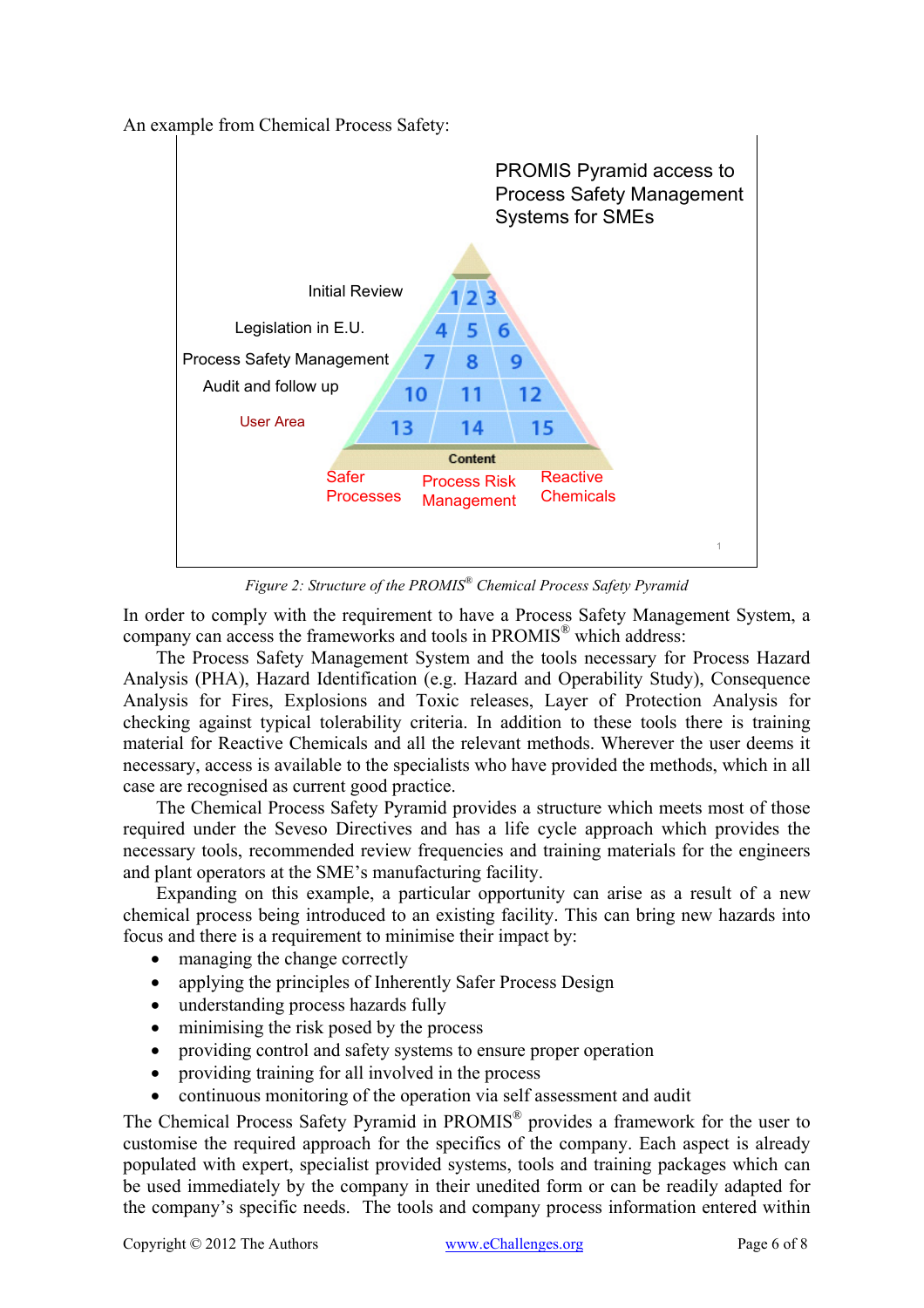An example from Chemical Process Safety:



*Figure 2: Structure of the PROMIS® Chemical Process Safety Pyramid* 

In order to comply with the requirement to have a Process Safety Management System, a company can access the frameworks and tools in PROMIS<sup>®</sup> which address:

 The Process Safety Management System and the tools necessary for Process Hazard Analysis (PHA), Hazard Identification (e.g. Hazard and Operability Study), Consequence Analysis for Fires, Explosions and Toxic releases, Layer of Protection Analysis for checking against typical tolerability criteria. In addition to these tools there is training material for Reactive Chemicals and all the relevant methods. Wherever the user deems it necessary, access is available to the specialists who have provided the methods, which in all case are recognised as current good practice.

 The Chemical Process Safety Pyramid provides a structure which meets most of those required under the Seveso Directives and has a life cycle approach which provides the necessary tools, recommended review frequencies and training materials for the engineers and plant operators at the SME's manufacturing facility.

 Expanding on this example, a particular opportunity can arise as a result of a new chemical process being introduced to an existing facility. This can bring new hazards into focus and there is a requirement to minimise their impact by:

- managing the change correctly
- applying the principles of Inherently Safer Process Design
- understanding process hazards fully
- minimising the risk posed by the process
- providing control and safety systems to ensure proper operation
- providing training for all involved in the process
- continuous monitoring of the operation via self assessment and audit

The Chemical Process Safety Pyramid in PROMIS® provides a framework for the user to customise the required approach for the specifics of the company. Each aspect is already populated with expert, specialist provided systems, tools and training packages which can be used immediately by the company in their unedited form or can be readily adapted for the company's specific needs. The tools and company process information entered within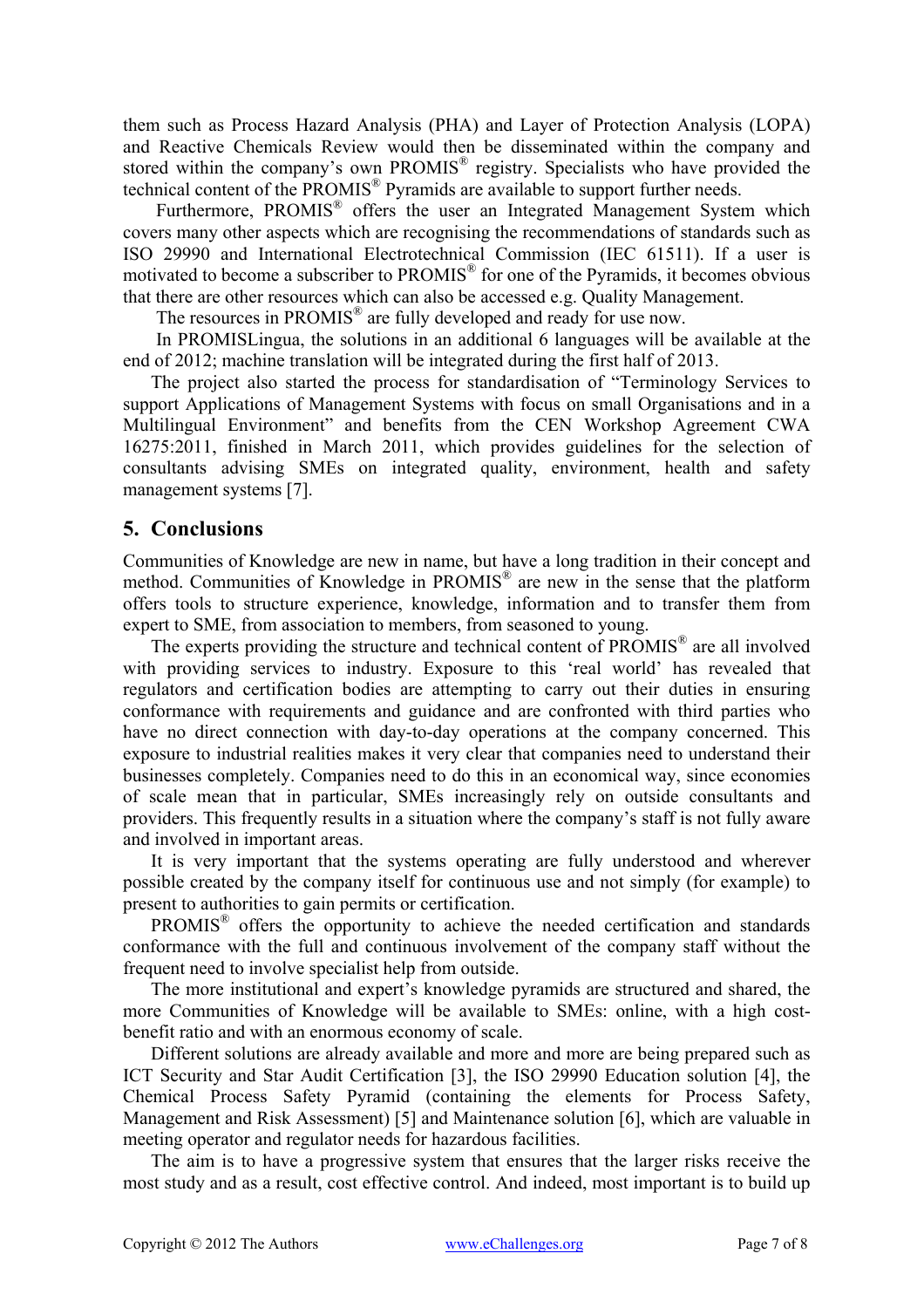them such as Process Hazard Analysis (PHA) and Layer of Protection Analysis (LOPA) and Reactive Chemicals Review would then be disseminated within the company and stored within the company's own PROMIS<sup>®</sup> registry. Specialists who have provided the technical content of the  $PROMIS^{\circledR}$  Pyramids are available to support further needs.

Furthermore, PROMIS<sup>®</sup> offers the user an Integrated Management System which covers many other aspects which are recognising the recommendations of standards such as ISO 29990 and International Electrotechnical Commission (IEC 61511). If a user is motivated to become a subscriber to PROMIS<sup>®</sup> for one of the Pyramids, it becomes obvious that there are other resources which can also be accessed e.g. Quality Management.

The resources in PROMIS<sup>®</sup> are fully developed and ready for use now.

 In PROMISLingua, the solutions in an additional 6 languages will be available at the end of 2012; machine translation will be integrated during the first half of 2013.

The project also started the process for standardisation of "Terminology Services to support Applications of Management Systems with focus on small Organisations and in a Multilingual Environment" and benefits from the CEN Workshop Agreement CWA 16275:2011, finished in March 2011, which provides guidelines for the selection of consultants advising SMEs on integrated quality, environment, health and safety management systems [7].

## **5. Conclusions**

Communities of Knowledge are new in name, but have a long tradition in their concept and method. Communities of Knowledge in PROMIS® are new in the sense that the platform offers tools to structure experience, knowledge, information and to transfer them from expert to SME, from association to members, from seasoned to young.

The experts providing the structure and technical content of PROMIS® are all involved with providing services to industry. Exposure to this 'real world' has revealed that regulators and certification bodies are attempting to carry out their duties in ensuring conformance with requirements and guidance and are confronted with third parties who have no direct connection with day-to-day operations at the company concerned. This exposure to industrial realities makes it very clear that companies need to understand their businesses completely. Companies need to do this in an economical way, since economies of scale mean that in particular, SMEs increasingly rely on outside consultants and providers. This frequently results in a situation where the company's staff is not fully aware and involved in important areas.

It is very important that the systems operating are fully understood and wherever possible created by the company itself for continuous use and not simply (for example) to present to authorities to gain permits or certification.

PROMIS® offers the opportunity to achieve the needed certification and standards conformance with the full and continuous involvement of the company staff without the frequent need to involve specialist help from outside.

The more institutional and expert's knowledge pyramids are structured and shared, the more Communities of Knowledge will be available to SMEs: online, with a high costbenefit ratio and with an enormous economy of scale.

Different solutions are already available and more and more are being prepared such as ICT Security and Star Audit Certification [3], the ISO 29990 Education solution [4], the Chemical Process Safety Pyramid (containing the elements for Process Safety, Management and Risk Assessment) [5] and Maintenance solution [6], which are valuable in meeting operator and regulator needs for hazardous facilities.

The aim is to have a progressive system that ensures that the larger risks receive the most study and as a result, cost effective control. And indeed, most important is to build up